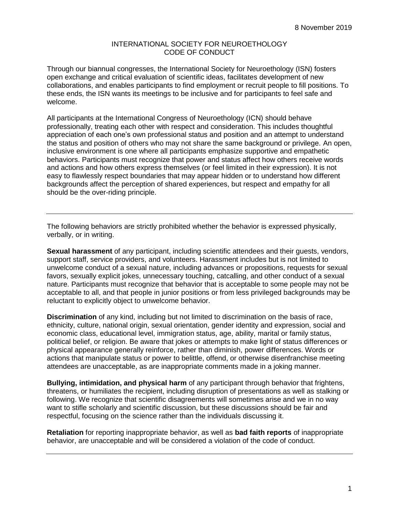## INTERNATIONAL SOCIETY FOR NEUROETHOLOGY CODE OF CONDUCT

Through our biannual congresses, the International Society for Neuroethology (ISN) fosters open exchange and critical evaluation of scientific ideas, facilitates development of new collaborations, and enables participants to find employment or recruit people to fill positions. To these ends, the ISN wants its meetings to be inclusive and for participants to feel safe and welcome.

All participants at the International Congress of Neuroethology (ICN) should behave professionally, treating each other with respect and consideration. This includes thoughtful appreciation of each one's own professional status and position and an attempt to understand the status and position of others who may not share the same background or privilege. An open, inclusive environment is one where all participants emphasize supportive and empathetic behaviors. Participants must recognize that power and status affect how others receive words and actions and how others express themselves (or feel limited in their expression). It is not easy to flawlessly respect boundaries that may appear hidden or to understand how different backgrounds affect the perception of shared experiences, but respect and empathy for all should be the over-riding principle.

The following behaviors are strictly prohibited whether the behavior is expressed physically, verbally, or in writing.

**Sexual harassment** of any participant, including scientific attendees and their guests, vendors, support staff, service providers, and volunteers. Harassment includes but is not limited to unwelcome conduct of a sexual nature, including advances or propositions, requests for sexual favors, sexually explicit jokes, unnecessary touching, catcalling, and other conduct of a sexual nature. Participants must recognize that behavior that is acceptable to some people may not be acceptable to all, and that people in junior positions or from less privileged backgrounds may be reluctant to explicitly object to unwelcome behavior.

**Discrimination** of any kind, including but not limited to discrimination on the basis of race, ethnicity, culture, national origin, sexual orientation, gender identity and expression, social and economic class, educational level, immigration status, age, ability, marital or family status, political belief, or religion. Be aware that jokes or attempts to make light of status differences or physical appearance generally reinforce, rather than diminish, power differences. Words or actions that manipulate status or power to belittle, offend, or otherwise disenfranchise meeting attendees are unacceptable, as are inappropriate comments made in a joking manner.

**Bullying, intimidation, and physical harm** of any participant through behavior that frightens, threatens, or humiliates the recipient, including disruption of presentations as well as stalking or following. We recognize that scientific disagreements will sometimes arise and we in no way want to stifle scholarly and scientific discussion, but these discussions should be fair and respectful, focusing on the science rather than the individuals discussing it.

**Retaliation** for reporting inappropriate behavior, as well as **bad faith reports** of inappropriate behavior, are unacceptable and will be considered a violation of the code of conduct.